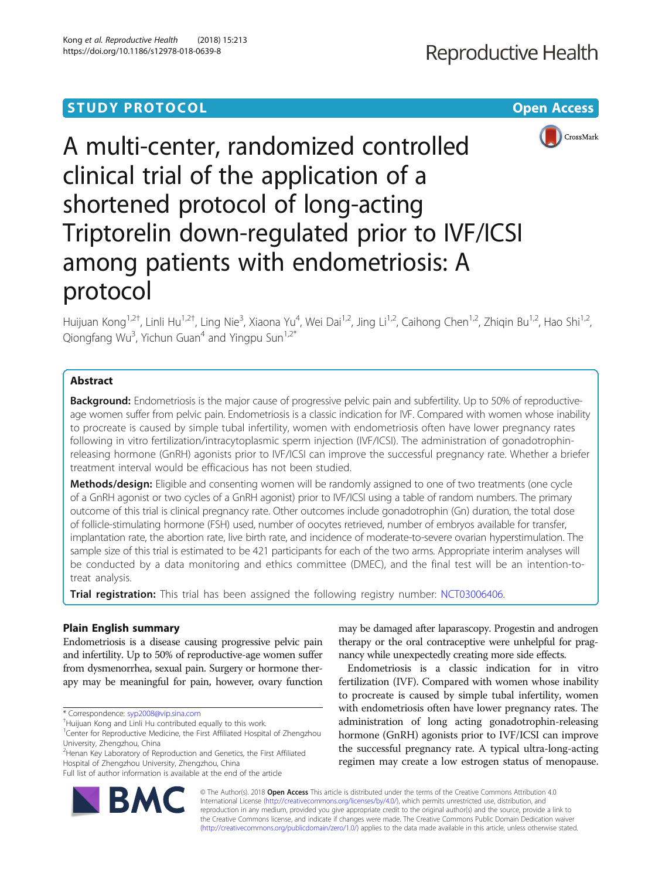# **STUDY PROTOCOL CONSUMING THE CONSUMING OPEN ACCESS**



# A multi-center, randomized controlled clinical trial of the application of a shortened protocol of long-acting Triptorelin down-regulated prior to IVF/ICSI among patients with endometriosis: A protocol

Huijuan Kong<sup>1,2†</sup>, Linli Hu<sup>1,2†</sup>, Ling Nie<sup>3</sup>, Xiaona Yu<sup>4</sup>, Wei Dai<sup>1,2</sup>, Jing Li<sup>1,2</sup>, Caihong Chen<sup>1,2</sup>, Zhiqin Bu<sup>1,2</sup>, Hao Shi<sup>1,2</sup>, Qiongfang Wu<sup>3</sup>, Yichun Guan<sup>4</sup> and Yingpu Sun<sup>1,2\*</sup>

## Abstract

**Background:** Endometriosis is the major cause of progressive pelvic pain and subfertility. Up to 50% of reproductiveage women suffer from pelvic pain. Endometriosis is a classic indication for IVF. Compared with women whose inability to procreate is caused by simple tubal infertility, women with endometriosis often have lower pregnancy rates following in vitro fertilization/intracytoplasmic sperm injection (IVF/ICSI). The administration of gonadotrophinreleasing hormone (GnRH) agonists prior to IVF/ICSI can improve the successful pregnancy rate. Whether a briefer treatment interval would be efficacious has not been studied.

Methods/design: Eligible and consenting women will be randomly assigned to one of two treatments (one cycle of a GnRH agonist or two cycles of a GnRH agonist) prior to IVF/ICSI using a table of random numbers. The primary outcome of this trial is clinical pregnancy rate. Other outcomes include gonadotrophin (Gn) duration, the total dose of follicle-stimulating hormone (FSH) used, number of oocytes retrieved, number of embryos available for transfer, implantation rate, the abortion rate, live birth rate, and incidence of moderate-to-severe ovarian hyperstimulation. The sample size of this trial is estimated to be 421 participants for each of the two arms. Appropriate interim analyses will be conducted by a data monitoring and ethics committee (DMEC), and the final test will be an intention-totreat analysis.

Trial registration: This trial has been assigned the following registry number: [NCT03006406.](https://clinicaltrials.gov/ct2/show/NCT03006406?term=NCT03006406&rank=1)

## Plain English summary

Endometriosis is a disease causing progressive pelvic pain and infertility. Up to 50% of reproductive-age women suffer from dysmenorrhea, sexual pain. Surgery or hormone therapy may be meaningful for pain, however, ovary function

<sup>2</sup> Henan Key Laboratory of Reproduction and Genetics, the First Affiliated Hospital of Zhengzhou University, Zhengzhou, China



Endometriosis is a classic indication for in vitro fertilization (IVF). Compared with women whose inability to procreate is caused by simple tubal infertility, women with endometriosis often have lower pregnancy rates. The administration of long acting gonadotrophin-releasing hormone (GnRH) agonists prior to IVF/ICSI can improve the successful pregnancy rate. A typical ultra-long-acting regimen may create a low estrogen status of menopause.



© The Author(s). 2018 Open Access This article is distributed under the terms of the Creative Commons Attribution 4.0 International License [\(http://creativecommons.org/licenses/by/4.0/](http://creativecommons.org/licenses/by/4.0/)), which permits unrestricted use, distribution, and reproduction in any medium, provided you give appropriate credit to the original author(s) and the source, provide a link to the Creative Commons license, and indicate if changes were made. The Creative Commons Public Domain Dedication waiver [\(http://creativecommons.org/publicdomain/zero/1.0/](http://creativecommons.org/publicdomain/zero/1.0/)) applies to the data made available in this article, unless otherwise stated.

<sup>\*</sup> Correspondence: [syp2008@vip.sina.com](mailto:syp2008@vip.sina.com) †

Huijuan Kong and Linli Hu contributed equally to this work.

<sup>&</sup>lt;sup>1</sup> Center for Reproductive Medicine, the First Affiliated Hospital of Zhengzhou University, Zhengzhou, China

Full list of author information is available at the end of the article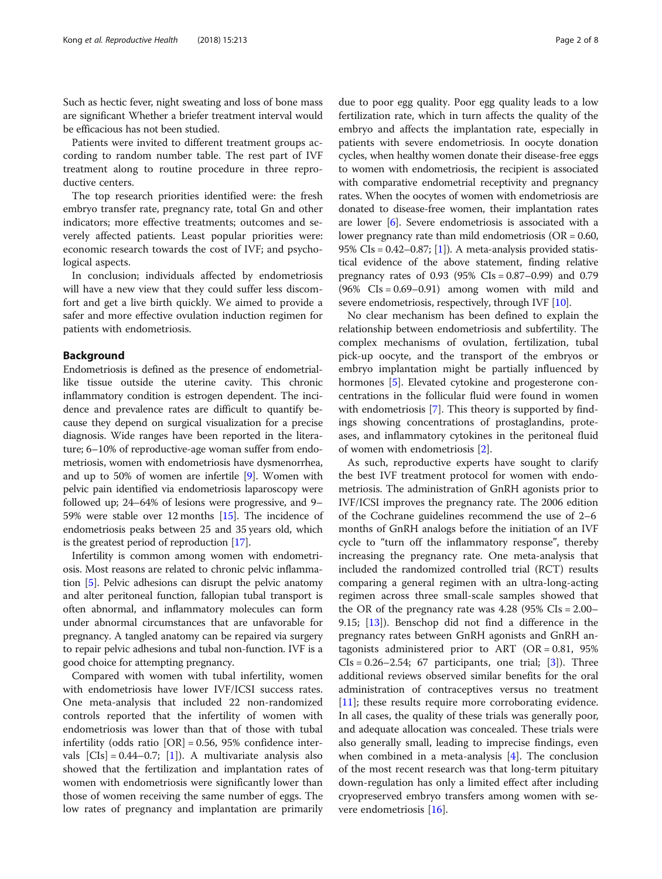Such as hectic fever, night sweating and loss of bone mass are significant Whether a briefer treatment interval would be efficacious has not been studied.

Patients were invited to different treatment groups according to random number table. The rest part of IVF treatment along to routine procedure in three reproductive centers.

The top research priorities identified were: the fresh embryo transfer rate, pregnancy rate, total Gn and other indicators; more effective treatments; outcomes and severely affected patients. Least popular priorities were: economic research towards the cost of IVF; and psychological aspects.

In conclusion; individuals affected by endometriosis will have a new view that they could suffer less discomfort and get a live birth quickly. We aimed to provide a safer and more effective ovulation induction regimen for patients with endometriosis.

#### Background

Endometriosis is defined as the presence of endometriallike tissue outside the uterine cavity. This chronic inflammatory condition is estrogen dependent. The incidence and prevalence rates are difficult to quantify because they depend on surgical visualization for a precise diagnosis. Wide ranges have been reported in the literature; 6–10% of reproductive-age woman suffer from endometriosis, women with endometriosis have dysmenorrhea, and up to 50% of women are infertile [\[9](#page-7-0)]. Women with pelvic pain identified via endometriosis laparoscopy were followed up; 24–64% of lesions were progressive, and 9– 59% were stable over 12 months [\[15\]](#page-7-0). The incidence of endometriosis peaks between 25 and 35 years old, which is the greatest period of reproduction [\[17\]](#page-7-0).

Infertility is common among women with endometriosis. Most reasons are related to chronic pelvic inflammation [\[5](#page-7-0)]. Pelvic adhesions can disrupt the pelvic anatomy and alter peritoneal function, fallopian tubal transport is often abnormal, and inflammatory molecules can form under abnormal circumstances that are unfavorable for pregnancy. A tangled anatomy can be repaired via surgery to repair pelvic adhesions and tubal non-function. IVF is a good choice for attempting pregnancy.

Compared with women with tubal infertility, women with endometriosis have lower IVF/ICSI success rates. One meta-analysis that included 22 non-randomized controls reported that the infertility of women with endometriosis was lower than that of those with tubal infertility (odds ratio  $[OR] = 0.56$ , 95% confidence intervals  $[CIs] = 0.44-0.7; [1]$  $[CIs] = 0.44-0.7; [1]$  $[CIs] = 0.44-0.7; [1]$ . A multivariate analysis also showed that the fertilization and implantation rates of women with endometriosis were significantly lower than those of women receiving the same number of eggs. The low rates of pregnancy and implantation are primarily

due to poor egg quality. Poor egg quality leads to a low fertilization rate, which in turn affects the quality of the embryo and affects the implantation rate, especially in patients with severe endometriosis. In oocyte donation cycles, when healthy women donate their disease-free eggs to women with endometriosis, the recipient is associated with comparative endometrial receptivity and pregnancy rates. When the oocytes of women with endometriosis are donated to disease-free women, their implantation rates are lower [\[6\]](#page-7-0). Severe endometriosis is associated with a lower pregnancy rate than mild endometriosis (OR = 0.60, 95% CIs =  $0.42-0.87$ ; [[1\]](#page-7-0)). A meta-analysis provided statistical evidence of the above statement, finding relative pregnancy rates of 0.93 (95% CIs = 0.87–0.99) and 0.79  $(96\% \text{ CIs} = 0.69 - 0.91)$  among women with mild and severe endometriosis, respectively, through IVF [[10](#page-7-0)].

No clear mechanism has been defined to explain the relationship between endometriosis and subfertility. The complex mechanisms of ovulation, fertilization, tubal pick-up oocyte, and the transport of the embryos or embryo implantation might be partially influenced by hormones [[5\]](#page-7-0). Elevated cytokine and progesterone concentrations in the follicular fluid were found in women with endometriosis [\[7](#page-7-0)]. This theory is supported by findings showing concentrations of prostaglandins, proteases, and inflammatory cytokines in the peritoneal fluid of women with endometriosis [[2\]](#page-7-0).

As such, reproductive experts have sought to clarify the best IVF treatment protocol for women with endometriosis. The administration of GnRH agonists prior to IVF/ICSI improves the pregnancy rate. The 2006 edition of the Cochrane guidelines recommend the use of 2–6 months of GnRH analogs before the initiation of an IVF cycle to "turn off the inflammatory response", thereby increasing the pregnancy rate. One meta-analysis that included the randomized controlled trial (RCT) results comparing a general regimen with an ultra-long-acting regimen across three small-scale samples showed that the OR of the pregnancy rate was  $4.28$  (95% CIs =  $2.00-$ 9.15; [[13\]](#page-7-0)). Benschop did not find a difference in the pregnancy rates between GnRH agonists and GnRH antagonists administered prior to ART (OR =  $0.81$ , 95%  $CIs = 0.26 - 2.54$ ; 67 participants, one trial; [\[3](#page-7-0)]). Three additional reviews observed similar benefits for the oral administration of contraceptives versus no treatment [[11\]](#page-7-0); these results require more corroborating evidence. In all cases, the quality of these trials was generally poor, and adequate allocation was concealed. These trials were also generally small, leading to imprecise findings, even when combined in a meta-analysis [\[4](#page-7-0)]. The conclusion of the most recent research was that long-term pituitary down-regulation has only a limited effect after including cryopreserved embryo transfers among women with severe endometriosis [\[16\]](#page-7-0).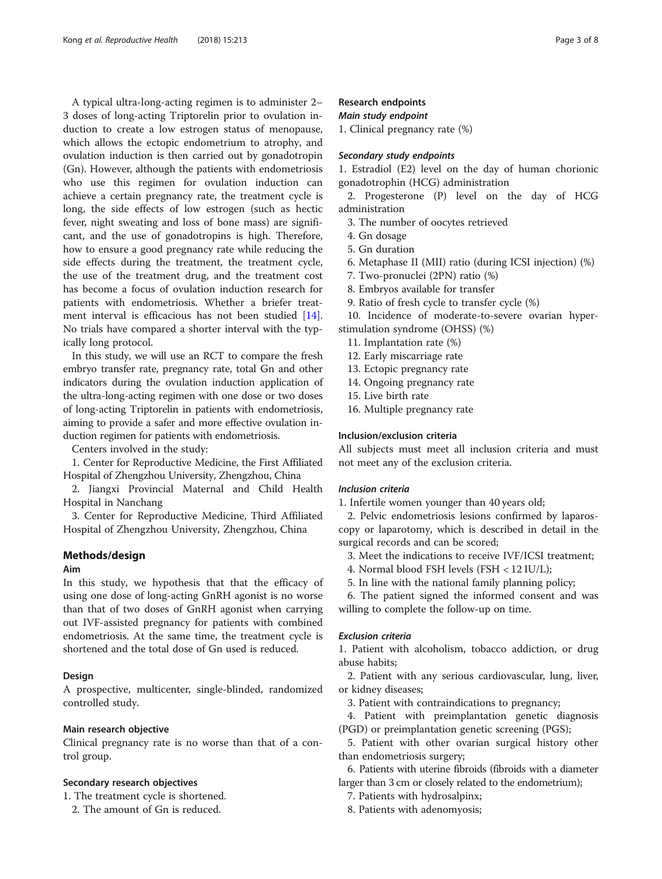A typical ultra-long-acting regimen is to administer 2– 3 doses of long-acting Triptorelin prior to ovulation induction to create a low estrogen status of menopause, which allows the ectopic endometrium to atrophy, and ovulation induction is then carried out by gonadotropin (Gn). However, although the patients with endometriosis who use this regimen for ovulation induction can achieve a certain pregnancy rate, the treatment cycle is long, the side effects of low estrogen (such as hectic fever, night sweating and loss of bone mass) are significant, and the use of gonadotropins is high. Therefore, how to ensure a good pregnancy rate while reducing the side effects during the treatment, the treatment cycle, the use of the treatment drug, and the treatment cost has become a focus of ovulation induction research for patients with endometriosis. Whether a briefer treatment interval is efficacious has not been studied [\[14](#page-7-0)]. No trials have compared a shorter interval with the typically long protocol.

In this study, we will use an RCT to compare the fresh embryo transfer rate, pregnancy rate, total Gn and other indicators during the ovulation induction application of the ultra-long-acting regimen with one dose or two doses of long-acting Triptorelin in patients with endometriosis, aiming to provide a safer and more effective ovulation induction regimen for patients with endometriosis.

Centers involved in the study:

1. Center for Reproductive Medicine, the First Affiliated Hospital of Zhengzhou University, Zhengzhou, China

2. Jiangxi Provincial Maternal and Child Health Hospital in Nanchang

3. Center for Reproductive Medicine, Third Affiliated Hospital of Zhengzhou University, Zhengzhou, China

## Methods/design

## Aim

In this study, we hypothesis that that the efficacy of using one dose of long-acting GnRH agonist is no worse than that of two doses of GnRH agonist when carrying out IVF-assisted pregnancy for patients with combined endometriosis. At the same time, the treatment cycle is shortened and the total dose of Gn used is reduced.

## Design

A prospective, multicenter, single-blinded, randomized controlled study.

## Main research objective

Clinical pregnancy rate is no worse than that of a control group.

#### Secondary research objectives

1. The treatment cycle is shortened.

2. The amount of Gn is reduced.

## Research endpoints

#### Main study endpoint

1. Clinical pregnancy rate (%)

## Secondary study endpoints

1. Estradiol (E2) level on the day of human chorionic gonadotrophin (HCG) administration

2. Progesterone (P) level on the day of HCG administration

3. The number of oocytes retrieved

- 4. Gn dosage
- 5. Gn duration
- 6. Metaphase II (MII) ratio (during ICSI injection) (%)
- 7. Two-pronuclei (2PN) ratio (%)
- 8. Embryos available for transfer
- 9. Ratio of fresh cycle to transfer cycle (%)

10. Incidence of moderate-to-severe ovarian hyperstimulation syndrome (OHSS) (%)

- 11. Implantation rate (%)
- 12. Early miscarriage rate
- 13. Ectopic pregnancy rate
- 14. Ongoing pregnancy rate
- 15. Live birth rate
- 16. Multiple pregnancy rate

## Inclusion/exclusion criteria

All subjects must meet all inclusion criteria and must not meet any of the exclusion criteria.

## Inclusion criteria

1. Infertile women younger than 40 years old;

2. Pelvic endometriosis lesions confirmed by laparoscopy or laparotomy, which is described in detail in the surgical records and can be scored;

3. Meet the indications to receive IVF/ICSI treatment;

- 4. Normal blood FSH levels (FSH < 12 IU/L);
- 5. In line with the national family planning policy;

6. The patient signed the informed consent and was willing to complete the follow-up on time.

## Exclusion criteria

1. Patient with alcoholism, tobacco addiction, or drug abuse habits;

2. Patient with any serious cardiovascular, lung, liver, or kidney diseases;

3. Patient with contraindications to pregnancy;

4. Patient with preimplantation genetic diagnosis (PGD) or preimplantation genetic screening (PGS);

5. Patient with other ovarian surgical history other than endometriosis surgery;

6. Patients with uterine fibroids (fibroids with a diameter larger than 3 cm or closely related to the endometrium);

7. Patients with hydrosalpinx;

8. Patients with adenomyosis;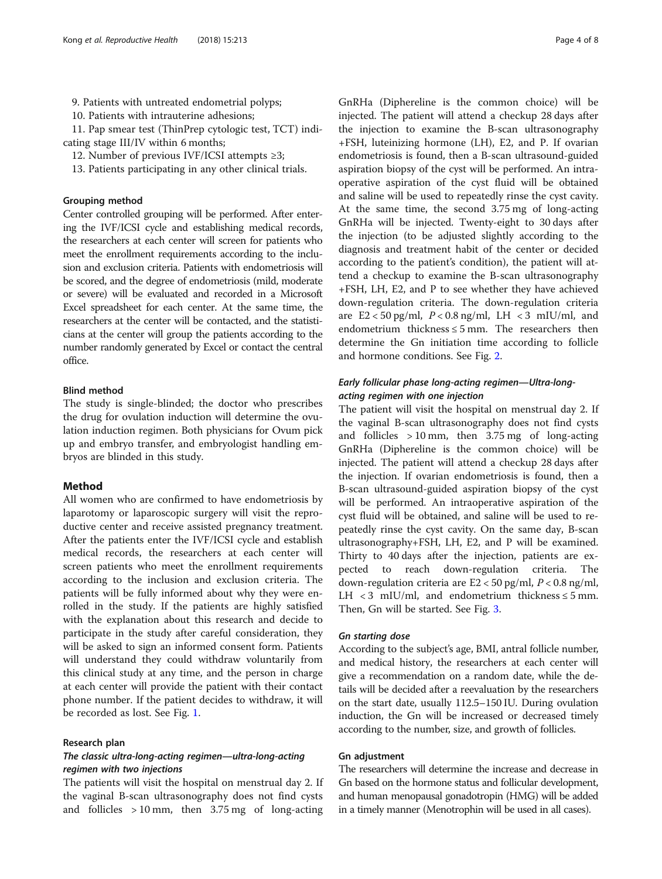9. Patients with untreated endometrial polyps;

10. Patients with intrauterine adhesions;

11. Pap smear test (ThinPrep cytologic test, TCT) indicating stage III/IV within 6 months;

12. Number of previous IVF/ICSI attempts ≥3;

13. Patients participating in any other clinical trials.

#### Grouping method

Center controlled grouping will be performed. After entering the IVF/ICSI cycle and establishing medical records, the researchers at each center will screen for patients who meet the enrollment requirements according to the inclusion and exclusion criteria. Patients with endometriosis will be scored, and the degree of endometriosis (mild, moderate or severe) will be evaluated and recorded in a Microsoft Excel spreadsheet for each center. At the same time, the researchers at the center will be contacted, and the statisticians at the center will group the patients according to the number randomly generated by Excel or contact the central office.

## Blind method

The study is single-blinded; the doctor who prescribes the drug for ovulation induction will determine the ovulation induction regimen. Both physicians for Ovum pick up and embryo transfer, and embryologist handling embryos are blinded in this study.

## Method

All women who are confirmed to have endometriosis by laparotomy or laparoscopic surgery will visit the reproductive center and receive assisted pregnancy treatment. After the patients enter the IVF/ICSI cycle and establish medical records, the researchers at each center will screen patients who meet the enrollment requirements according to the inclusion and exclusion criteria. The patients will be fully informed about why they were enrolled in the study. If the patients are highly satisfied with the explanation about this research and decide to participate in the study after careful consideration, they will be asked to sign an informed consent form. Patients will understand they could withdraw voluntarily from this clinical study at any time, and the person in charge at each center will provide the patient with their contact phone number. If the patient decides to withdraw, it will be recorded as lost. See Fig. [1](#page-4-0).

#### Research plan

## The classic ultra-long-acting regimen—ultra-long-acting regimen with two injections

The patients will visit the hospital on menstrual day 2. If the vaginal B-scan ultrasonography does not find cysts and follicles > 10 mm, then 3.75 mg of long-acting

GnRHa (Diphereline is the common choice) will be injected. The patient will attend a checkup 28 days after the injection to examine the B-scan ultrasonography +FSH, luteinizing hormone (LH), E2, and P. If ovarian endometriosis is found, then a B-scan ultrasound-guided aspiration biopsy of the cyst will be performed. An intraoperative aspiration of the cyst fluid will be obtained and saline will be used to repeatedly rinse the cyst cavity. At the same time, the second 3.75 mg of long-acting GnRHa will be injected. Twenty-eight to 30 days after the injection (to be adjusted slightly according to the diagnosis and treatment habit of the center or decided according to the patient's condition), the patient will attend a checkup to examine the B-scan ultrasonography +FSH, LH, E2, and P to see whether they have achieved down-regulation criteria. The down-regulation criteria are  $E2 < 50$  pg/ml,  $P < 0.8$  ng/ml, LH  $< 3$  mIU/ml, and endometrium thickness  $\leq$  5 mm. The researchers then determine the Gn initiation time according to follicle and hormone conditions. See Fig. [2.](#page-4-0)

## Early follicular phase long-acting regimen—Ultra-longacting regimen with one injection

The patient will visit the hospital on menstrual day 2. If the vaginal B-scan ultrasonography does not find cysts and follicles  $> 10$  mm, then 3.75 mg of long-acting GnRHa (Diphereline is the common choice) will be injected. The patient will attend a checkup 28 days after the injection. If ovarian endometriosis is found, then a B-scan ultrasound-guided aspiration biopsy of the cyst will be performed. An intraoperative aspiration of the cyst fluid will be obtained, and saline will be used to repeatedly rinse the cyst cavity. On the same day, B-scan ultrasonography+FSH, LH, E2, and P will be examined. Thirty to 40 days after the injection, patients are expected to reach down-regulation criteria. The down-regulation criteria are  $E2 < 50$  pg/ml,  $P < 0.8$  ng/ml, LH < 3 mIU/ml, and endometrium thickness  $\leq$  5 mm. Then, Gn will be started. See Fig. [3.](#page-5-0)

#### Gn starting dose

According to the subject's age, BMI, antral follicle number, and medical history, the researchers at each center will give a recommendation on a random date, while the details will be decided after a reevaluation by the researchers on the start date, usually 112.5–150 IU. During ovulation induction, the Gn will be increased or decreased timely according to the number, size, and growth of follicles.

## Gn adjustment

The researchers will determine the increase and decrease in Gn based on the hormone status and follicular development, and human menopausal gonadotropin (HMG) will be added in a timely manner (Menotrophin will be used in all cases).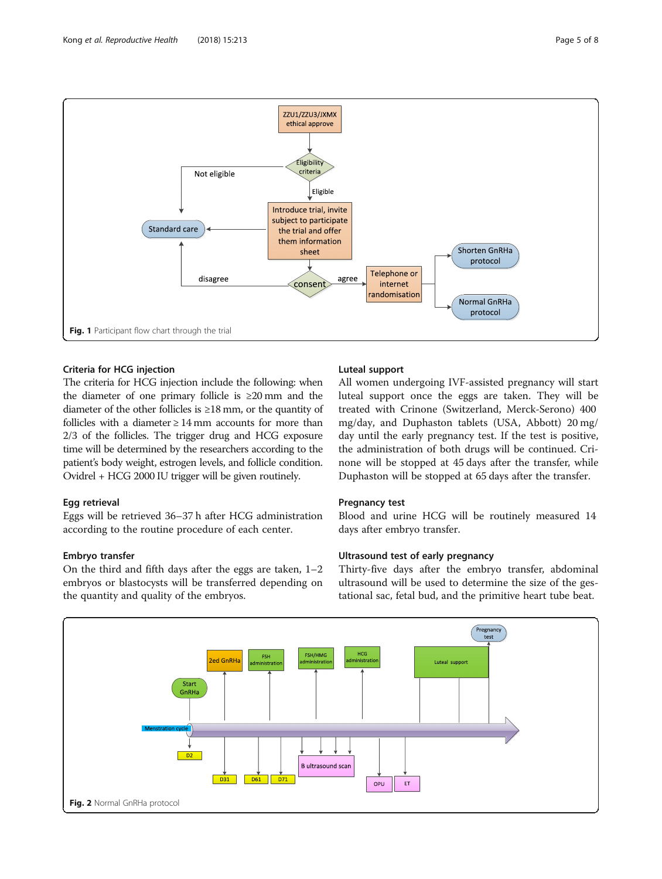<span id="page-4-0"></span>

## Criteria for HCG injection

The criteria for HCG injection include the following: when the diameter of one primary follicle is ≥20 mm and the diameter of the other follicles is ≥18 mm, or the quantity of follicles with a diameter  $\geq 14$  mm accounts for more than 2/3 of the follicles. The trigger drug and HCG exposure time will be determined by the researchers according to the patient's body weight, estrogen levels, and follicle condition. Ovidrel + HCG 2000 IU trigger will be given routinely.

## Egg retrieval

Eggs will be retrieved 36–37 h after HCG administration according to the routine procedure of each center.

## Embryo transfer

On the third and fifth days after the eggs are taken, 1–2 embryos or blastocysts will be transferred depending on the quantity and quality of the embryos.

## Luteal support

All women undergoing IVF-assisted pregnancy will start luteal support once the eggs are taken. They will be treated with Crinone (Switzerland, Merck-Serono) 400 mg/day, and Duphaston tablets (USA, Abbott) 20 mg/ day until the early pregnancy test. If the test is positive, the administration of both drugs will be continued. Crinone will be stopped at 45 days after the transfer, while Duphaston will be stopped at 65 days after the transfer.

## Pregnancy test

Blood and urine HCG will be routinely measured 14 days after embryo transfer.

## Ultrasound test of early pregnancy

Thirty-five days after the embryo transfer, abdominal ultrasound will be used to determine the size of the gestational sac, fetal bud, and the primitive heart tube beat.

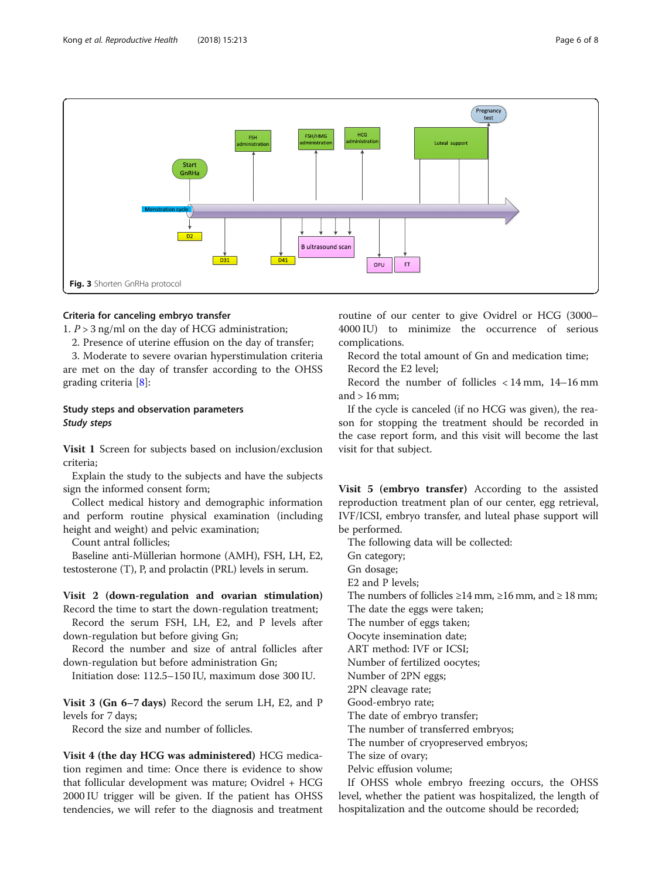<span id="page-5-0"></span>

## Criteria for canceling embryo transfer

1.  $P > 3$  ng/ml on the day of HCG administration;

2. Presence of uterine effusion on the day of transfer;

3. Moderate to severe ovarian hyperstimulation criteria are met on the day of transfer according to the OHSS grading criteria [\[8](#page-7-0)]:

## Study steps and observation parameters Study steps

Visit 1 Screen for subjects based on inclusion/exclusion criteria;

Explain the study to the subjects and have the subjects sign the informed consent form;

Collect medical history and demographic information and perform routine physical examination (including height and weight) and pelvic examination;

Count antral follicles;

Baseline anti-Müllerian hormone (AMH), FSH, LH, E2, testosterone (T), P, and prolactin (PRL) levels in serum.

#### Visit 2 (down-regulation and ovarian stimulation)

Record the time to start the down-regulation treatment; Record the serum FSH, LH, E2, and P levels after down-regulation but before giving Gn;

Record the number and size of antral follicles after down-regulation but before administration Gn;

Initiation dose: 112.5–150 IU, maximum dose 300 IU.

Visit 3 (Gn 6–7 days) Record the serum LH, E2, and P levels for 7 days;

Record the size and number of follicles.

Visit 4 (the day HCG was administered) HCG medication regimen and time: Once there is evidence to show that follicular development was mature; Ovidrel + HCG 2000 IU trigger will be given. If the patient has OHSS tendencies, we will refer to the diagnosis and treatment routine of our center to give Ovidrel or HCG (3000– 4000 IU) to minimize the occurrence of serious complications.

Record the total amount of Gn and medication time; Record the E2 level;

Record the number of follicles < 14 mm, 14–16 mm and  $> 16$  mm;

If the cycle is canceled (if no HCG was given), the reason for stopping the treatment should be recorded in the case report form, and this visit will become the last visit for that subject.

Visit 5 (embryo transfer) According to the assisted reproduction treatment plan of our center, egg retrieval, IVF/ICSI, embryo transfer, and luteal phase support will be performed.

The following data will be collected:

Gn category;

Gn dosage;

E2 and P levels;

The numbers of follicles  $\geq 14$  mm,  $\geq 16$  mm, and  $\geq 18$  mm;

The date the eggs were taken;

The number of eggs taken;

Oocyte insemination date;

ART method: IVF or ICSI;

Number of fertilized oocytes;

Number of 2PN eggs;

2PN cleavage rate;

Good-embryo rate;

The date of embryo transfer;

The number of transferred embryos;

The number of cryopreserved embryos;

The size of ovary;

Pelvic effusion volume;

If OHSS whole embryo freezing occurs, the OHSS level, whether the patient was hospitalized, the length of hospitalization and the outcome should be recorded;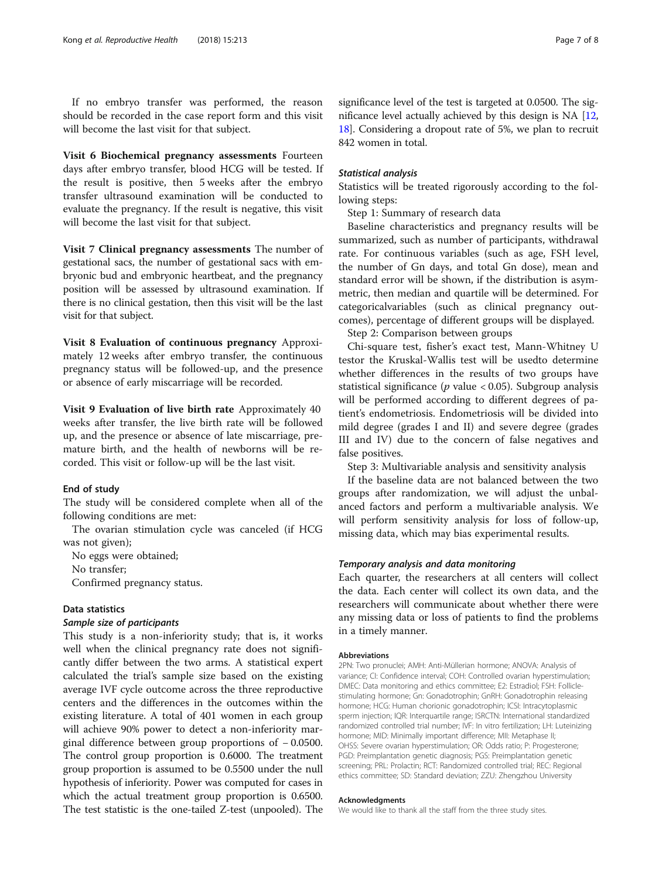If no embryo transfer was performed, the reason should be recorded in the case report form and this visit will become the last visit for that subject.

Visit 6 Biochemical pregnancy assessments Fourteen days after embryo transfer, blood HCG will be tested. If the result is positive, then 5 weeks after the embryo transfer ultrasound examination will be conducted to evaluate the pregnancy. If the result is negative, this visit will become the last visit for that subject.

Visit 7 Clinical pregnancy assessments The number of gestational sacs, the number of gestational sacs with embryonic bud and embryonic heartbeat, and the pregnancy position will be assessed by ultrasound examination. If there is no clinical gestation, then this visit will be the last visit for that subject.

Visit 8 Evaluation of continuous pregnancy Approximately 12 weeks after embryo transfer, the continuous pregnancy status will be followed-up, and the presence or absence of early miscarriage will be recorded.

Visit 9 Evaluation of live birth rate Approximately 40 weeks after transfer, the live birth rate will be followed up, and the presence or absence of late miscarriage, premature birth, and the health of newborns will be recorded. This visit or follow-up will be the last visit.

#### End of study

The study will be considered complete when all of the following conditions are met:

The ovarian stimulation cycle was canceled (if HCG was not given);

No eggs were obtained;

No transfer;

Confirmed pregnancy status.

#### Data statistics

#### Sample size of participants

This study is a non-inferiority study; that is, it works well when the clinical pregnancy rate does not significantly differ between the two arms. A statistical expert calculated the trial's sample size based on the existing average IVF cycle outcome across the three reproductive centers and the differences in the outcomes within the existing literature. A total of 401 women in each group will achieve 90% power to detect a non-inferiority marginal difference between group proportions of − 0.0500. The control group proportion is 0.6000. The treatment group proportion is assumed to be 0.5500 under the null hypothesis of inferiority. Power was computed for cases in which the actual treatment group proportion is 0.6500. The test statistic is the one-tailed Z-test (unpooled). The

significance level of the test is targeted at 0.0500. The significance level actually achieved by this design is NA [[12](#page-7-0), [18](#page-7-0)]. Considering a dropout rate of 5%, we plan to recruit 842 women in total.

#### Statistical analysis

Statistics will be treated rigorously according to the following steps:

Step 1: Summary of research data

Baseline characteristics and pregnancy results will be summarized, such as number of participants, withdrawal rate. For continuous variables (such as age, FSH level, the number of Gn days, and total Gn dose), mean and standard error will be shown, if the distribution is asymmetric, then median and quartile will be determined. For categoricalvariables (such as clinical pregnancy outcomes), percentage of different groups will be displayed.

Step 2: Comparison between groups

Chi-square test, fisher's exact test, Mann-Whitney U testor the Kruskal-Wallis test will be usedto determine whether differences in the results of two groups have statistical significance ( $p$  value < 0.05). Subgroup analysis will be performed according to different degrees of patient's endometriosis. Endometriosis will be divided into mild degree (grades I and II) and severe degree (grades III and IV) due to the concern of false negatives and false positives.

Step 3: Multivariable analysis and sensitivity analysis

If the baseline data are not balanced between the two groups after randomization, we will adjust the unbalanced factors and perform a multivariable analysis. We will perform sensitivity analysis for loss of follow-up, missing data, which may bias experimental results.

#### Temporary analysis and data monitoring

Each quarter, the researchers at all centers will collect the data. Each center will collect its own data, and the researchers will communicate about whether there were any missing data or loss of patients to find the problems in a timely manner.

#### Abbreviations

2PN: Two pronuclei; AMH: Anti-Müllerian hormone; ANOVA: Analysis of variance; CI: Confidence interval; COH: Controlled ovarian hyperstimulation; DMEC: Data monitoring and ethics committee; E2: Estradiol; FSH: Folliclestimulating hormone; Gn: Gonadotrophin; GnRH: Gonadotrophin releasing hormone; HCG: Human chorionic gonadotrophin; ICSI: Intracytoplasmic sperm injection; IQR: Interquartile range; ISRCTN: International standardized randomized controlled trial number; IVF: In vitro fertilization; LH: Luteinizing hormone; MID: Minimally important difference; MII: Metaphase II; OHSS: Severe ovarian hyperstimulation; OR: Odds ratio; P: Progesterone; PGD: Preimplantation genetic diagnosis; PGS: Preimplantation genetic screening; PRL: Prolactin; RCT: Randomized controlled trial; REC: Regional ethics committee; SD: Standard deviation; ZZU: Zhengzhou University

#### Acknowledgments

We would like to thank all the staff from the three study sites.